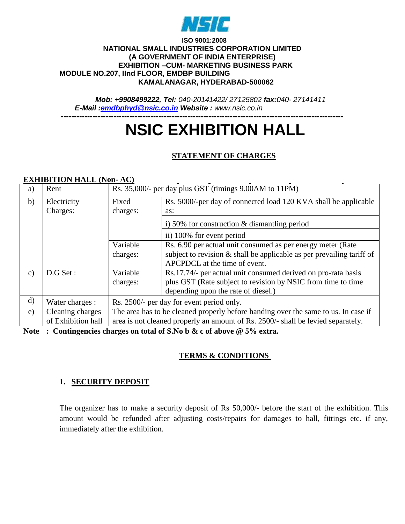

#### **ISO 9001:2008 NATIONAL SMALL INDUSTRIES CORPORATION LIMITED (A GOVERNMENT OF INDIA ENTERPRISE) EXHIBITION –CUM- MARKETING BUSINESS PARK MODULE NO.207, IInd FLOOR, EMDBP BUILDING KAMALANAGAR, HYDERABAD-500062**

*Mob: +9908499222, Tel: 040-20141422/ 27125802 fax:040- 27141411 E-Mail [:emdbphyd@nsic.co.in](mailto:emdbphyd@nsic.co.in) Website : www.nsic.co.in*

# **----------------------------------------------------------------------------------------------------------- NSIC EXHIBITION HALL**

# **STATEMENT OF CHARGES**

#### **EXHIBITION HALL (Non- AC)**

| a)            | Rent               | Rs. 35,000/- per day plus GST (timings 9.00AM to 11PM)                             |                                                                          |  |
|---------------|--------------------|------------------------------------------------------------------------------------|--------------------------------------------------------------------------|--|
| b)            | Electricity        | Rs. 5000/-per day of connected load 120 KVA shall be applicable<br>Fixed           |                                                                          |  |
|               | Charges:           | charges:                                                                           | as:                                                                      |  |
|               |                    |                                                                                    | i) 50% for construction $&$ dismantling period                           |  |
|               |                    |                                                                                    | ii) 100% for event period                                                |  |
|               |                    | Variable                                                                           | Rs. 6.90 per actual unit consumed as per energy meter (Rate              |  |
|               |                    | charges:                                                                           | subject to revision $\&$ shall be applicable as per prevailing tariff of |  |
|               |                    |                                                                                    | APCPDCL at the time of event.                                            |  |
| $\mathbf{c})$ | D.G Set:           | Variable                                                                           | Rs.17.74/- per actual unit consumed derived on pro-rata basis            |  |
|               |                    | charges:                                                                           | plus GST (Rate subject to revision by NSIC from time to time             |  |
|               |                    |                                                                                    | depending upon the rate of diesel.)                                      |  |
| d)            | Water charges :    | Rs. 2500/- per day for event period only.                                          |                                                                          |  |
| e)            | Cleaning charges   | The area has to be cleaned properly before handing over the same to us. In case if |                                                                          |  |
|               | of Exhibition hall | area is not cleaned properly an amount of Rs. 2500/- shall be levied separately.   |                                                                          |  |

**Note : Contingencies charges on total of S.No b & c of above @ 5% extra.**

#### **TERMS & CONDITIONS**

#### **1. SECURITY DEPOSIT**

The organizer has to make a security deposit of Rs 50,000/- before the start of the exhibition. This amount would be refunded after adjusting costs/repairs for damages to hall, fittings etc. if any, immediately after the exhibition.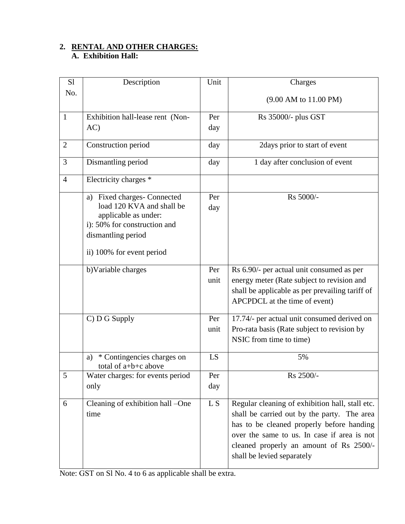# **2. RENTAL AND OTHER CHARGES:**

#### **A. Exhibition Hall:**

| S1             | Description                                                | Unit | Charges                                         |
|----------------|------------------------------------------------------------|------|-------------------------------------------------|
| No.            |                                                            |      | (9.00 AM to 11.00 PM)                           |
|                |                                                            |      |                                                 |
| $\mathbf{1}$   | Exhibition hall-lease rent (Non-                           | Per  | Rs 35000/- plus GST                             |
|                | AC)                                                        | day  |                                                 |
| $\overline{2}$ |                                                            |      | 2days prior to start of event                   |
|                | Construction period                                        | day  |                                                 |
| 3              | Dismantling period                                         | day  | 1 day after conclusion of event                 |
| $\overline{4}$ | Electricity charges *                                      |      |                                                 |
|                | a) Fixed charges- Connected                                | Per  | Rs 5000/-                                       |
|                | load 120 KVA and shall be                                  | day  |                                                 |
|                | applicable as under:                                       |      |                                                 |
|                | i): 50% for construction and                               |      |                                                 |
|                | dismantling period                                         |      |                                                 |
|                | ii) 100% for event period                                  |      |                                                 |
|                |                                                            |      |                                                 |
|                | b)Variable charges                                         | Per  | Rs 6.90/- per actual unit consumed as per       |
|                |                                                            | unit | energy meter (Rate subject to revision and      |
|                |                                                            |      | shall be applicable as per prevailing tariff of |
|                |                                                            |      | APCPDCL at the time of event)                   |
|                | C) D G Supply                                              | Per  | 17.74/- per actual unit consumed derived on     |
|                |                                                            | unit | Pro-rata basis (Rate subject to revision by     |
|                |                                                            |      | NSIC from time to time)                         |
|                |                                                            |      |                                                 |
|                | * Contingencies charges on<br>a)<br>total of $a+b+c$ above | LS   | 5%                                              |
| 5              | Water charges: for events period                           | Per  | Rs 2500/-                                       |
|                | only                                                       | day  |                                                 |
|                |                                                            |      |                                                 |
| 6              | Cleaning of exhibition hall -One                           | L S  | Regular cleaning of exhibition hall, stall etc. |
|                | time                                                       |      | shall be carried out by the party. The area     |
|                |                                                            |      | has to be cleaned properly before handing       |
|                |                                                            |      | over the same to us. In case if area is not     |
|                |                                                            |      | cleaned properly an amount of Rs 2500/-         |
|                |                                                            |      | shall be levied separately                      |
|                |                                                            |      |                                                 |

Note: GST on Sl No. 4 to 6 as applicable shall be extra.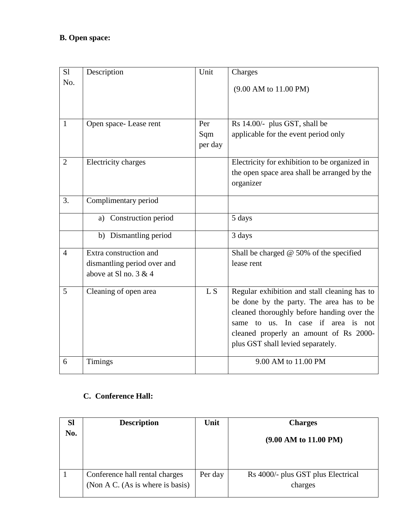| S <sub>1</sub><br>No. | Description                                                                      | Unit                  | Charges<br>(9.00 AM to 11.00 PM)                                                                                                                                                                                                                            |
|-----------------------|----------------------------------------------------------------------------------|-----------------------|-------------------------------------------------------------------------------------------------------------------------------------------------------------------------------------------------------------------------------------------------------------|
| $\mathbf{1}$          | Open space-Lease rent                                                            | Per<br>Sqm<br>per day | Rs 14.00/- plus GST, shall be<br>applicable for the event period only                                                                                                                                                                                       |
| $\overline{2}$        | Electricity charges                                                              |                       | Electricity for exhibition to be organized in<br>the open space area shall be arranged by the<br>organizer                                                                                                                                                  |
| 3.                    | Complimentary period                                                             |                       |                                                                                                                                                                                                                                                             |
|                       | Construction period<br>a)                                                        |                       | 5 days                                                                                                                                                                                                                                                      |
|                       | b) Dismantling period                                                            |                       | 3 days                                                                                                                                                                                                                                                      |
| $\overline{4}$        | Extra construction and<br>dismantling period over and<br>above at Sl no. $3 & 4$ |                       | Shall be charged $@$ 50% of the specified<br>lease rent                                                                                                                                                                                                     |
| 5                     | Cleaning of open area                                                            | L <sub>S</sub>        | Regular exhibition and stall cleaning has to<br>be done by the party. The area has to be<br>cleaned thoroughly before handing over the<br>same to us. In case if area is not<br>cleaned properly an amount of Rs 2000-<br>plus GST shall levied separately. |
| 6                     | <b>Timings</b>                                                                   |                       | 9.00 AM to 11.00 PM                                                                                                                                                                                                                                         |

# **C. Conference Hall:**

| <b>Sl</b> | <b>Description</b>                                                 | Unit    | <b>Charges</b>                                |
|-----------|--------------------------------------------------------------------|---------|-----------------------------------------------|
| No.       |                                                                    |         | $(9.00 \text{ AM to } 11.00 \text{ PM})$      |
|           | Conference hall rental charges<br>(Non A C. (As is where is basis) | Per day | Rs 4000/- plus GST plus Electrical<br>charges |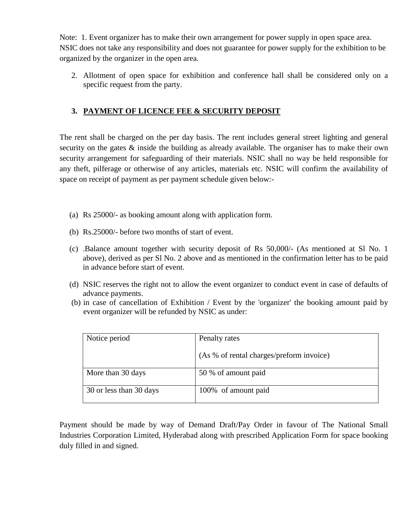Note: 1. Event organizer has to make their own arrangement for power supply in open space area. NSIC does not take any responsibility and does not guarantee for power supply for the exhibition to be organized by the organizer in the open area.

2. Allotment of open space for exhibition and conference hall shall be considered only on a specific request from the party.

#### **3. PAYMENT OF LICENCE FEE & SECURITY DEPOSIT**

The rent shall be charged on the per day basis. The rent includes general street lighting and general security on the gates  $\&$  inside the building as already available. The organiser has to make their own security arrangement for safeguarding of their materials. NSIC shall no way be held responsible for any theft, pilferage or otherwise of any articles, materials etc. NSIC will confirm the availability of space on receipt of payment as per payment schedule given below:-

- (a) Rs 25000/- as booking amount along with application form.
- (b) Rs.25000/- before two months of start of event.
- (c) .Balance amount together with security deposit of Rs 50,000/- (As mentioned at Sl No. 1 above), derived as per Sl No. 2 above and as mentioned in the confirmation letter has to be paid in advance before start of event.
- (d) NSIC reserves the right not to allow the event organizer to conduct event in case of defaults of advance payments.
- (b) in case of cancellation of Exhibition / Event by the 'organizer' the booking amount paid by event organizer will be refunded by NSIC as under:

| Notice period           | Penalty rates                            |
|-------------------------|------------------------------------------|
|                         | (As % of rental charges/preform invoice) |
| More than 30 days       | 50 % of amount paid                      |
| 30 or less than 30 days | 100% of amount paid                      |

Payment should be made by way of Demand Draft/Pay Order in favour of The National Small Industries Corporation Limited, Hyderabad along with prescribed Application Form for space booking duly filled in and signed.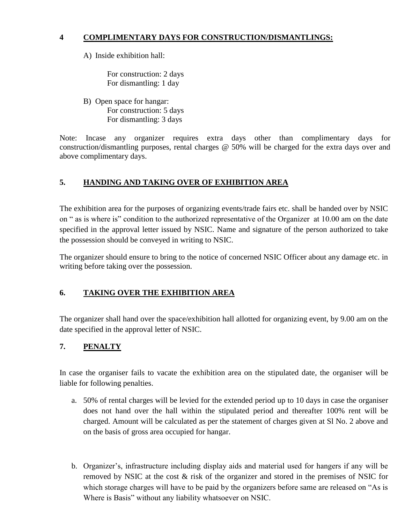#### **4 COMPLIMENTARY DAYS FOR CONSTRUCTION/DISMANTLINGS:**

A) Inside exhibition hall:

For construction: 2 days For dismantling: 1 day

B) Open space for hangar: For construction: 5 days For dismantling: 3 days

Note: Incase any organizer requires extra days other than complimentary days for construction/dismantling purposes, rental charges @ 50% will be charged for the extra days over and above complimentary days.

## **5. HANDING AND TAKING OVER OF EXHIBITION AREA**

The exhibition area for the purposes of organizing events/trade fairs etc. shall be handed over by NSIC on " as is where is" condition to the authorized representative of the Organizer at 10.00 am on the date specified in the approval letter issued by NSIC. Name and signature of the person authorized to take the possession should be conveyed in writing to NSIC.

The organizer should ensure to bring to the notice of concerned NSIC Officer about any damage etc. in writing before taking over the possession.

#### **6. TAKING OVER THE EXHIBITION AREA**

The organizer shall hand over the space/exhibition hall allotted for organizing event, by 9.00 am on the date specified in the approval letter of NSIC.

#### **7. PENALTY**

In case the organiser fails to vacate the exhibition area on the stipulated date, the organiser will be liable for following penalties.

- a. 50% of rental charges will be levied for the extended period up to 10 days in case the organiser does not hand over the hall within the stipulated period and thereafter 100% rent will be charged. Amount will be calculated as per the statement of charges given at Sl No. 2 above and on the basis of gross area occupied for hangar.
- b. Organizer's, infrastructure including display aids and material used for hangers if any will be removed by NSIC at the cost & risk of the organizer and stored in the premises of NSIC for which storage charges will have to be paid by the organizers before same are released on "As is Where is Basis" without any liability whatsoever on NSIC.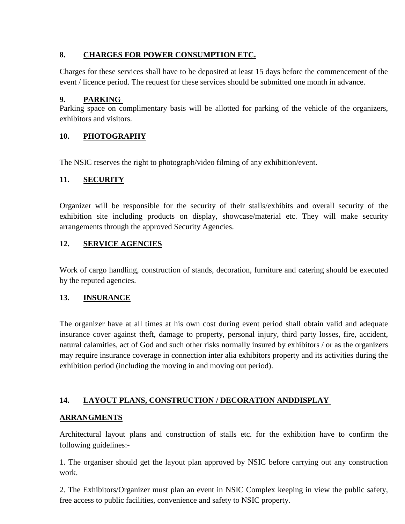#### **8. CHARGES FOR POWER CONSUMPTION ETC.**

Charges for these services shall have to be deposited at least 15 days before the commencement of the event / licence period. The request for these services should be submitted one month in advance.

## **9. PARKING**

Parking space on complimentary basis will be allotted for parking of the vehicle of the organizers, exhibitors and visitors.

# **10. PHOTOGRAPHY**

The NSIC reserves the right to photograph/video filming of any exhibition/event.

## **11. SECURITY**

Organizer will be responsible for the security of their stalls/exhibits and overall security of the exhibition site including products on display, showcase/material etc. They will make security arrangements through the approved Security Agencies.

## **12. SERVICE AGENCIES**

Work of cargo handling, construction of stands, decoration, furniture and catering should be executed by the reputed agencies.

# **13. INSURANCE**

The organizer have at all times at his own cost during event period shall obtain valid and adequate insurance cover against theft, damage to property, personal injury, third party losses, fire, accident, natural calamities, act of God and such other risks normally insured by exhibitors / or as the organizers may require insurance coverage in connection inter alia exhibitors property and its activities during the exhibition period (including the moving in and moving out period).

# **14. LAYOUT PLANS, CONSTRUCTION / DECORATION ANDDISPLAY**

# **ARRANGMENTS**

Architectural layout plans and construction of stalls etc. for the exhibition have to confirm the following guidelines:-

1. The organiser should get the layout plan approved by NSIC before carrying out any construction work.

2. The Exhibitors/Organizer must plan an event in NSIC Complex keeping in view the public safety, free access to public facilities, convenience and safety to NSIC property.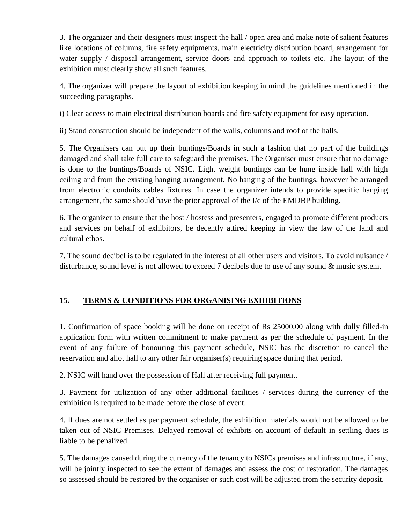3. The organizer and their designers must inspect the hall / open area and make note of salient features like locations of columns, fire safety equipments, main electricity distribution board, arrangement for water supply / disposal arrangement, service doors and approach to toilets etc. The layout of the exhibition must clearly show all such features.

4. The organizer will prepare the layout of exhibition keeping in mind the guidelines mentioned in the succeeding paragraphs.

i) Clear access to main electrical distribution boards and fire safety equipment for easy operation.

ii) Stand construction should be independent of the walls, columns and roof of the halls.

5. The Organisers can put up their buntings/Boards in such a fashion that no part of the buildings damaged and shall take full care to safeguard the premises. The Organiser must ensure that no damage is done to the buntings/Boards of NSIC. Light weight buntings can be hung inside hall with high ceiling and from the existing hanging arrangement. No hanging of the buntings, however be arranged from electronic conduits cables fixtures. In case the organizer intends to provide specific hanging arrangement, the same should have the prior approval of the I/c of the EMDBP building.

6. The organizer to ensure that the host / hostess and presenters, engaged to promote different products and services on behalf of exhibitors, be decently attired keeping in view the law of the land and cultural ethos.

7. The sound decibel is to be regulated in the interest of all other users and visitors. To avoid nuisance / disturbance, sound level is not allowed to exceed 7 decibels due to use of any sound & music system.

#### **15. TERMS & CONDITIONS FOR ORGANISING EXHIBITIONS**

1. Confirmation of space booking will be done on receipt of Rs 25000.00 along with dully filled-in application form with written commitment to make payment as per the schedule of payment. In the event of any failure of honouring this payment schedule, NSIC has the discretion to cancel the reservation and allot hall to any other fair organiser(s) requiring space during that period.

2. NSIC will hand over the possession of Hall after receiving full payment.

3. Payment for utilization of any other additional facilities / services during the currency of the exhibition is required to be made before the close of event.

4. If dues are not settled as per payment schedule, the exhibition materials would not be allowed to be taken out of NSIC Premises. Delayed removal of exhibits on account of default in settling dues is liable to be penalized.

5. The damages caused during the currency of the tenancy to NSICs premises and infrastructure, if any, will be jointly inspected to see the extent of damages and assess the cost of restoration. The damages so assessed should be restored by the organiser or such cost will be adjusted from the security deposit.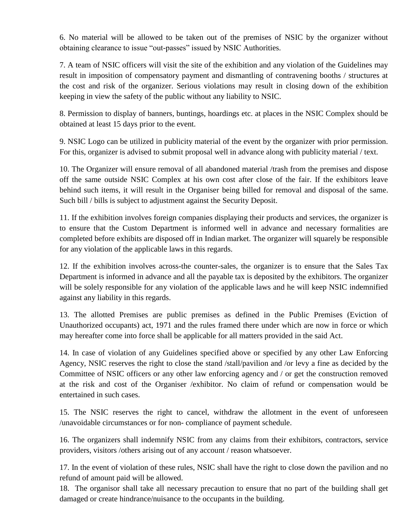6. No material will be allowed to be taken out of the premises of NSIC by the organizer without obtaining clearance to issue "out-passes" issued by NSIC Authorities.

7. A team of NSIC officers will visit the site of the exhibition and any violation of the Guidelines may result in imposition of compensatory payment and dismantling of contravening booths / structures at the cost and risk of the organizer. Serious violations may result in closing down of the exhibition keeping in view the safety of the public without any liability to NSIC.

8. Permission to display of banners, buntings, hoardings etc. at places in the NSIC Complex should be obtained at least 15 days prior to the event.

9. NSIC Logo can be utilized in publicity material of the event by the organizer with prior permission. For this, organizer is advised to submit proposal well in advance along with publicity material / text.

10. The Organizer will ensure removal of all abandoned material /trash from the premises and dispose off the same outside NSIC Complex at his own cost after close of the fair. If the exhibitors leave behind such items, it will result in the Organiser being billed for removal and disposal of the same. Such bill / bills is subject to adjustment against the Security Deposit.

11. If the exhibition involves foreign companies displaying their products and services, the organizer is to ensure that the Custom Department is informed well in advance and necessary formalities are completed before exhibits are disposed off in Indian market. The organizer will squarely be responsible for any violation of the applicable laws in this regards.

12. If the exhibition involves across-the counter-sales, the organizer is to ensure that the Sales Tax Department is informed in advance and all the payable tax is deposited by the exhibitors. The organizer will be solely responsible for any violation of the applicable laws and he will keep NSIC indemnified against any liability in this regards.

13. The allotted Premises are public premises as defined in the Public Premises (Eviction of Unauthorized occupants) act, 1971 and the rules framed there under which are now in force or which may hereafter come into force shall be applicable for all matters provided in the said Act.

14. In case of violation of any Guidelines specified above or specified by any other Law Enforcing Agency, NSIC reserves the right to close the stand /stall/pavilion and /or levy a fine as decided by the Committee of NSIC officers or any other law enforcing agency and / or get the construction removed at the risk and cost of the Organiser /exhibitor. No claim of refund or compensation would be entertained in such cases.

15. The NSIC reserves the right to cancel, withdraw the allotment in the event of unforeseen /unavoidable circumstances or for non- compliance of payment schedule.

16. The organizers shall indemnify NSIC from any claims from their exhibitors, contractors, service providers, visitors /others arising out of any account / reason whatsoever.

17. In the event of violation of these rules, NSIC shall have the right to close down the pavilion and no refund of amount paid will be allowed.

18. The organisor shall take all necessary precaution to ensure that no part of the building shall get damaged or create hindrance/nuisance to the occupants in the building.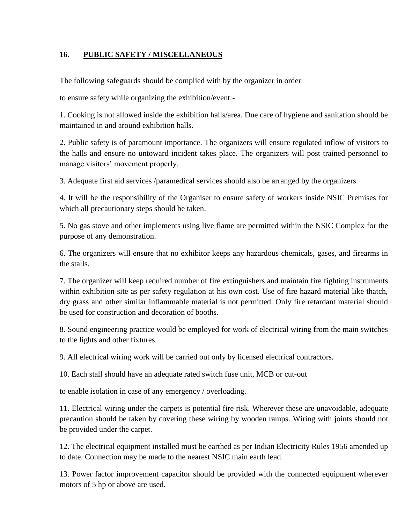#### **16. PUBLIC SAFETY / MISCELLANEOUS**

The following safeguards should be complied with by the organizer in order

to ensure safety while organizing the exhibition/event:-

1. Cooking is not allowed inside the exhibition halls/area. Due care of hygiene and sanitation should be maintained in and around exhibition halls.

2. Public safety is of paramount importance. The organizers will ensure regulated inflow of visitors to the halls and ensure no untoward incident takes place. The organizers will post trained personnel to manage visitors' movement properly.

3. Adequate first aid services /paramedical services should also be arranged by the organizers.

4. It will be the responsibility of the Organiser to ensure safety of workers inside NSIC Premises for which all precautionary steps should be taken.

5. No gas stove and other implements using live flame are permitted within the NSIC Complex for the purpose of any demonstration.

6. The organizers will ensure that no exhibitor keeps any hazardous chemicals, gases, and firearms in the stalls.

7. The organizer will keep required number of fire extinguishers and maintain fire fighting instruments within exhibition site as per safety regulation at his own cost. Use of fire hazard material like thatch, dry grass and other similar inflammable material is not permitted. Only fire retardant material should be used for construction and decoration of booths.

8. Sound engineering practice would be employed for work of electrical wiring from the main switches to the lights and other fixtures.

9. All electrical wiring work will be carried out only by licensed electrical contractors.

10. Each stall should have an adequate rated switch fuse unit, MCB or cut-out

to enable isolation in case of any emergency / overloading.

11. Electrical wiring under the carpets is potential fire risk. Wherever these are unavoidable, adequate precaution should be taken by covering these wiring by wooden ramps. Wiring with joints should not be provided under the carpet.

12. The electrical equipment installed must be earthed as per Indian Electricity Rules 1956 amended up to date. Connection may be made to the nearest NSIC main earth lead.

13. Power factor improvement capacitor should be provided with the connected equipment wherever motors of 5 hp or above are used.